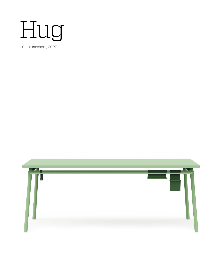

Giulio Iacchetti, 2022

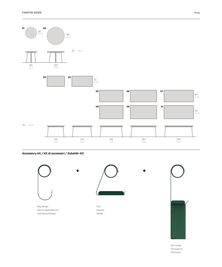

**Accessory kit / Kit di accessori / Zubehör-Kit**



Pen holder Portapenne Stifthalter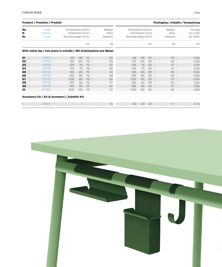| Product / Prodotto / Produkt                             |  |                                                                                                                                   |                                                                   |                                                           |                                                          | Packaging / Imballo / Verpackung                         |                                                                   |                                                           |                                                          |                                                          |  |                                                                              |
|----------------------------------------------------------|--|-----------------------------------------------------------------------------------------------------------------------------------|-------------------------------------------------------------------|-----------------------------------------------------------|----------------------------------------------------------|----------------------------------------------------------|-------------------------------------------------------------------|-----------------------------------------------------------|----------------------------------------------------------|----------------------------------------------------------|--|------------------------------------------------------------------------------|
| No.<br>N.<br>Nr.                                         |  | Code<br>Codice<br>Code                                                                                                            | Dimensions (w·d·h)<br>Dimensioni (l·p·h)<br>Abmessungen (b·t·h)   |                                                           |                                                          | Weight<br>Peso<br>Gewicht                                | Dimensions (w·d·h)<br>Dimensioni (l·p·h)<br>Abmessungen (b·t·h)   |                                                           |                                                          | Weight<br>Peso<br>Gewicht                                |  | Vol pkg<br>Vol. collo<br>Vol. Kollo                                          |
|                                                          |  |                                                                                                                                   |                                                                   |                                                           | cm:                                                      | kg                                                       |                                                                   |                                                           | cm:                                                      | $kg$ :                                                   |  | mc                                                                           |
|                                                          |  | With metal top / Con piano in metallo / Mit Arbeitsplatte aus Metal                                                               |                                                                   |                                                           |                                                          |                                                          |                                                                   |                                                           |                                                          |                                                          |  |                                                                              |
| 01<br>02<br>03<br>04<br>05<br>06<br>07<br>08<br>09<br>10 |  | <b>FHT11</b><br>FHT12<br>FHT <sub>13</sub><br>FHT14<br>FHT15<br>FHT16<br>FHT17<br>FHT18<br>FHT <sub>19</sub><br>FHT <sub>20</sub> | 80<br>120<br>120<br>140<br>160<br>180<br>200<br>160<br>180<br>200 | 80<br>120<br>70<br>70<br>80<br>80<br>80<br>90<br>90<br>90 | 76<br>76<br>76<br>76<br>76<br>76<br>76<br>76<br>76<br>76 | 20<br>29<br>32<br>36<br>44<br>48<br>52<br>47<br>52<br>57 | 85<br>125<br>125<br>145<br>165<br>185<br>205<br>165<br>185<br>205 | 85<br>125<br>75<br>75<br>85<br>85<br>85<br>95<br>95<br>95 | 30<br>30<br>30<br>30<br>30<br>30<br>30<br>30<br>30<br>30 | 25<br>34<br>37<br>41<br>49<br>53<br>57<br>52<br>57<br>62 |  | 0.30<br>0.50<br>0.30<br>0.40<br>0.50<br>0.50<br>0.60<br>0.50<br>0.60<br>0.60 |
|                                                          |  | Accessory kit / Kit di accessori / Zubehör-Kit<br>FHK01 :                                                                         |                                                                   |                                                           |                                                          | 1.5                                                      | $30^{\circ}$                                                      | 20                                                        | 20:                                                      | $1.7 \pm 1.7$                                            |  | 0.10                                                                         |

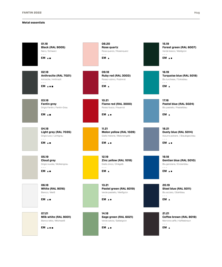## **Metal essentials**

| 01.18<br><b>Black (RAL 9005)</b><br>Nero / Schwarz                                                                                                                                                                                                                                                                                                                                                                                                                 | 08.20<br>Rose quartz<br>Rosa quarzo / Rosenquarz                                                                                                                                                                                                                                                                                                                                                                                                                   | 15.19<br>Forest green (RAL 6007)<br>Verde bosco / Waldgrün                                      |
|--------------------------------------------------------------------------------------------------------------------------------------------------------------------------------------------------------------------------------------------------------------------------------------------------------------------------------------------------------------------------------------------------------------------------------------------------------------------|--------------------------------------------------------------------------------------------------------------------------------------------------------------------------------------------------------------------------------------------------------------------------------------------------------------------------------------------------------------------------------------------------------------------------------------------------------------------|-------------------------------------------------------------------------------------------------|
| $- - -$<br>EM A .                                                                                                                                                                                                                                                                                                                                                                                                                                                  | $- - -$<br>EM A                                                                                                                                                                                                                                                                                                                                                                                                                                                    | $\sim$ $\sim$ $\sim$<br>EM A .                                                                  |
| 02.18<br>Anthracite (RAL 7021)<br>Antracite / Anthrazit<br>$- - -$                                                                                                                                                                                                                                                                                                                                                                                                 | 09.18<br>Ruby red (RAL 3003)<br>Rosso rubino / Rubinrot<br>$- - -$                                                                                                                                                                                                                                                                                                                                                                                                 | 16.19<br>Turquoise blue (RAL 5018)<br>Blu turchese / Türkisblau<br>$- - -$                      |
| EM A                                                                                                                                                                                                                                                                                                                                                                                                                                                               | EM A                                                                                                                                                                                                                                                                                                                                                                                                                                                               | EM A                                                                                            |
| 03.18<br><b>Fantin grey</b><br>Grigio Fantin / Fantin-Grau<br>$\frac{1}{2} \left( \frac{1}{2} \right) = \frac{1}{2} \left( \frac{1}{2} \right)$<br>EM A.                                                                                                                                                                                                                                                                                                           | 10.21<br>Flame red (RAL 3000)<br>Rosso fuoco / Feuerrot<br>$\sim$ $\sim$ $\sim$<br>EM A.                                                                                                                                                                                                                                                                                                                                                                           | 17.18<br>Pastel blue (RAL 5024)<br>Blu pastello / Pastellblau<br>$\omega = \omega$<br>EM A      |
| 04.18<br>Light grey (RAL 7035)<br>Grigio luce / Lichtgrau<br>$\sim$ $\sim$ $\sim$<br>EM A.                                                                                                                                                                                                                                                                                                                                                                         | 11.21<br>Melon yellow (RAL 1028)<br>Giallo melone / Melonengelb<br>$- - -$<br>EM A .                                                                                                                                                                                                                                                                                                                                                                               | 18.21<br>Dusty blue (RAL 5014)<br>Azzurro polvere / Staubiges blau<br>$- - -$<br>EM A .         |
| 05.19<br><b>Cloud grey</b><br>Grigio nuvola / Wolkengrau<br>$\frac{1}{2} \frac{1}{2} \frac{1}{2} \frac{1}{2} \frac{1}{2} \frac{1}{2} \frac{1}{2} \frac{1}{2} \frac{1}{2} \frac{1}{2} \frac{1}{2} \frac{1}{2} \frac{1}{2} \frac{1}{2} \frac{1}{2} \frac{1}{2} \frac{1}{2} \frac{1}{2} \frac{1}{2} \frac{1}{2} \frac{1}{2} \frac{1}{2} \frac{1}{2} \frac{1}{2} \frac{1}{2} \frac{1}{2} \frac{1}{2} \frac{1}{2} \frac{1}{2} \frac{1}{2} \frac{1}{2} \frac{$<br>EM A . | 12.19<br>Zinc yellow (RAL 1018)<br>Giallo zinco / Zinkgelb<br>$\frac{1}{2} \frac{1}{2} \frac{1}{2} \frac{1}{2} \frac{1}{2} \frac{1}{2} \frac{1}{2} \frac{1}{2} \frac{1}{2} \frac{1}{2} \frac{1}{2} \frac{1}{2} \frac{1}{2} \frac{1}{2} \frac{1}{2} \frac{1}{2} \frac{1}{2} \frac{1}{2} \frac{1}{2} \frac{1}{2} \frac{1}{2} \frac{1}{2} \frac{1}{2} \frac{1}{2} \frac{1}{2} \frac{1}{2} \frac{1}{2} \frac{1}{2} \frac{1}{2} \frac{1}{2} \frac{1}{2} \frac{$<br>EM A | 19.18<br>Gentian blue (RAL 5010)<br>Blu genziana / Enzianblau<br>$\sim$ $\sim$ $\sim$<br>EM A . |
| 06.18<br><b>White (RAL 9016)</b><br>Bianco / Weiß<br>$\sim$ $\sim$ $\sim$<br>EM A .                                                                                                                                                                                                                                                                                                                                                                                | 13.21<br>Pastel green (RAL 6019)<br>Verde pastello / Weißgrün<br>$- - -$<br>EM ▲●                                                                                                                                                                                                                                                                                                                                                                                  | 20.19<br>Steel blue (RAL 5011)<br>Blu acciaio / Stahlblau<br>$- - -$<br>EM A                    |
| 07.21<br>Milk white (RAL 9001)<br>Bianco latte / Milchweiß                                                                                                                                                                                                                                                                                                                                                                                                         | 14.18<br>Sage green (RAL 6021)<br>Verde salvia / Salbeigrün                                                                                                                                                                                                                                                                                                                                                                                                        | 21.21<br>Coffee brown (RAL 8019)<br>Marrone caffè / Kaffeebraun                                 |
| $\sim$ $ \sim$<br>EM A                                                                                                                                                                                                                                                                                                                                                                                                                                             | $- - -$<br>EM A .                                                                                                                                                                                                                                                                                                                                                                                                                                                  | $\sim$ $\sim$ $\sim$<br>EM A                                                                    |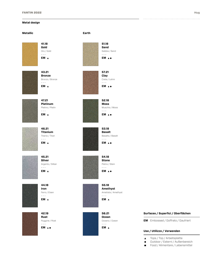# **Metal design**

## **Metallic Earth**



**41.18 Gold** Oro / Gold - - - **EM**



**43.21 Bronze** Bronzo / Bronze - - - **EM**



**47.21 Platinum** Platino / Platin - - -

**EM**



**46.21 Titanium** Titanio / Titan - - - **EM**



**45.21 Silver** Argento / Silber - - - **EM**



**44.18 Iron** Ferro / Eisen - - -



**EM**

**42.19 Rust** Ruggine / Rost - - - **EM**





**51.18 Sand** Sabbia / Sand  $- - -$ **EM**

**57.21 Clay** Creta / Lehm - - - **EM**

**52.18 Moss** Muschio / Moos - - - **EM**

**53.18 Basalt** Basalto / Basalt - - - **EM**

**54.18 Stone** Pietra / Stein - - - **EM**

**56.21 Ocean** Oceano / Ozean - - - **EM**

## **Surfaces / Superfici / Oberflächen**

**EM** Embossed / Goffrato / Gaufriert

## **Use / Utilizzo / Verwenden**

- Tops / Top / Arbeitsplatte  $\blacktriangle$
- Outdoor / Esterni / Außenbereich  $\bullet$
- Food / Alimentare / Lebensmittel  $\blacksquare$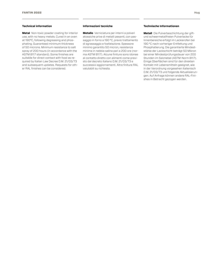#### **Technical information**

**Metal** Non-toxic powder coating for interior use, with no heavy metals. Cured in an oven at 190°C, following degreasing and phosphating. Guaranteed minimum thickness of 50 microns. Minimum resistance to salt spray of 200 hours (in accordance with the ASTM B117 standard). Some finishes are suitable for direct contact with food as required by Italian Law Decree D.M. 21/03/73 and subsequent updates. Requests for other RAL finishes can be considered.

#### **Informazioni tecniche**

**Metallo** Verniciatura per interni a polveri atossiche prive di metalli pesanti, con passaggio in forno a 190 °C, previo trattamento di sgrassaggio e fosfatazione. Spessore minimo garantito 50 micron, resistenza minima in nebbia salina pari a 200 ore (norma ASTM B117). Alcune finiture sono idonee al contatto diretto con alimenti come previsto dal decreto italiano D.M. 21/03/73 e successivi aggiornamenti. Altre finiture RAL valutabili su richiesta.

## **Technische Informationen**

**Metall** Die Pulverbeschichtung der giftund schwermetallfreien Pulverlacke für Innenbereiche erfolgt im Lackierofen bei 190 °C nach vorheriger Entfettung und Phosphatierung. Die garantierte Mindeststärke der Lackschicht beträgt 50 Mikron bei einer Mindestprüfungsdauer von 200 Stunden im Salznebel (ASTM-Norm B117). Einige Oberflächen sind für den direkten Kontakt mit Lebensmitteln geeignet, wie in der Verordnung vorgesehen Italienisch D.M. 21/03/73 und folgende Aktualisierungen. Auf Anfrage können andere RAL-Finishes in Betracht gezogen werden.